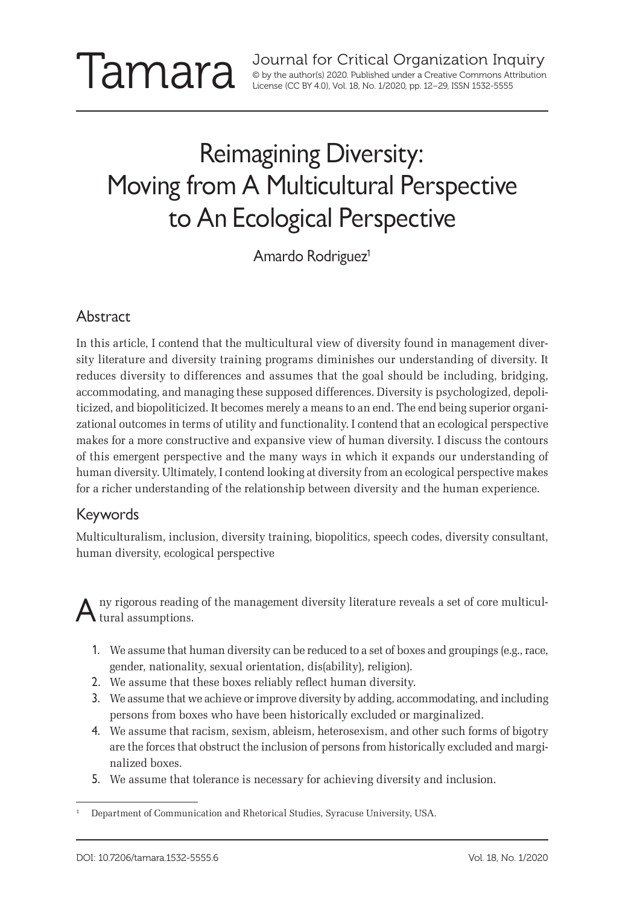Journal for Critical Organization Inquiry<br>
Sup the author(s) 2020. Published under a Creative Commons Attribution<br>
License (CC BY 4.0), Vol. 18, No. 1/2020, pp. 12–29, ISSN 1532-5555 © by the author(s) 2020. Published under a Creative Commons Attribution License (CC BY 4.0), Vol. 18, No. 1/2020, pp. 12–29, ISSN 1532-5555

# Reimagining Diversity: Moving from A Multicultural Perspective to An Ecological Perspective

Amardo Rodriguez<sup>1</sup>

#### Abstract

In this article, I contend that the multicultural view of diversity found in management diversity literature and diversity training programs diminishes our understanding of diversity. It reduces diversity to differences and assumes that the goal should be including, bridging, accommodating, and managing these supposed differences. Diversity is psychologized, depoliticized, and biopoliticized. It becomes merely a means to an end. The end being superior organizational outcomes in terms of utility and functionality. I contend that an ecological perspective makes for a more constructive and expansive view of human diversity. I discuss the contours of this emergent perspective and the many ways in which it expands our understanding of human diversity. Ultimately, I contend looking at diversity from an ecological perspective makes for a richer understanding of the relationship between diversity and the human experience.

#### Keywords

Multiculturalism, inclusion, diversity training, biopolitics, speech codes, diversity consultant, human diversity, ecological perspective

ny rigorous reading of the management diversity literature reveals a set of core multicul- $\mathbf{A}$  tural assumptions.

- 1. We assume that human diversity can be reduced to a set of boxes and groupings (e.g., race, gender, nationality, sexual orientation, dis(ability), religion).
- 2. We assume that these boxes reliably reflect human diversity.
- 3. We assume that we achieve or improve diversity by adding, accommodating, and including persons from boxes who have been historically excluded or marginalized.
- 4. We assume that racism, sexism, ableism, heterosexism, and other such forms of bigotry are the forces that obstruct the inclusion of persons from historically excluded and marginalized boxes.
- 5. We assume that tolerance is necessary for achieving diversity and inclusion.

<sup>1</sup> Department of Communication and Rhetorical Studies, Syracuse University, USA.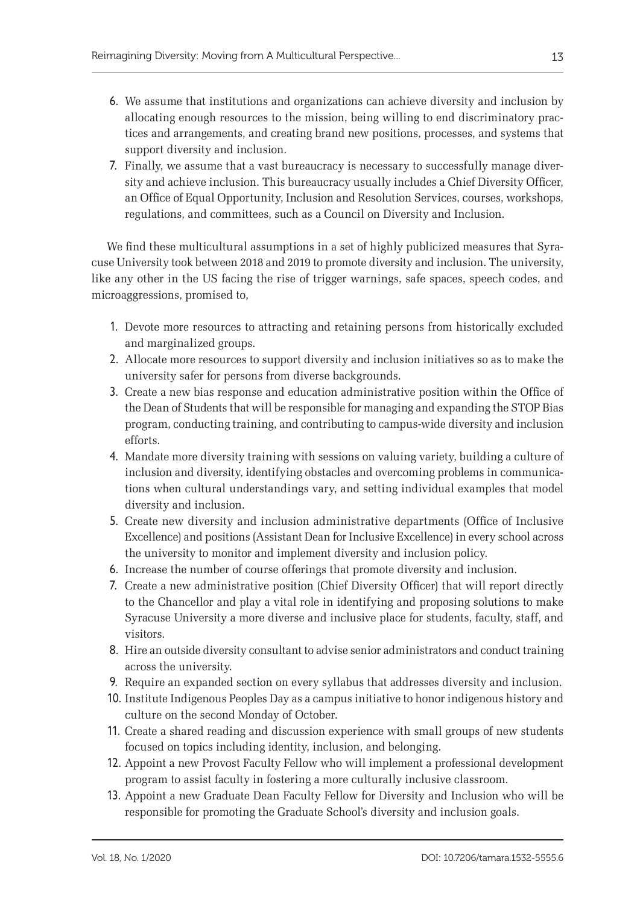- 6. We assume that institutions and organizations can achieve diversity and inclusion by allocating enough resources to the mission, being willing to end discriminatory practices and arrangements, and creating brand new positions, processes, and systems that support diversity and inclusion.
- 7. Finally, we assume that a vast bureaucracy is necessary to successfully manage diversity and achieve inclusion. This bureaucracy usually includes a Chief Diversity Officer, an Office of Equal Opportunity, Inclusion and Resolution Services, courses, workshops, regulations, and committees, such as a Council on Diversity and Inclusion.

We find these multicultural assumptions in a set of highly publicized measures that Syracuse University took between 2018 and 2019 to promote diversity and inclusion. The university, like any other in the US facing the rise of trigger warnings, safe spaces, speech codes, and microaggressions, promised to,

- 1. Devote more resources to attracting and retaining persons from historically excluded and marginalized groups.
- 2. Allocate more resources to support diversity and inclusion initiatives so as to make the university safer for persons from diverse backgrounds.
- 3. Create a new bias response and education administrative position within the Office of the Dean of Students that will be responsible for managing and expanding the STOP Bias program, conducting training, and contributing to campus-wide diversity and inclusion efforts.
- 4. Mandate more diversity training with sessions on valuing variety, building a culture of inclusion and diversity, identifying obstacles and overcoming problems in communications when cultural understandings vary, and setting individual examples that model diversity and inclusion.
- 5. Create new diversity and inclusion administrative departments (Office of Inclusive Excellence) and positions (Assistant Dean for Inclusive Excellence) in every school across the university to monitor and implement diversity and inclusion policy.
- 6. Increase the number of course offerings that promote diversity and inclusion.
- 7. Create a new administrative position (Chief Diversity Officer) that will report directly to the Chancellor and play a vital role in identifying and proposing solutions to make Syracuse University a more diverse and inclusive place for students, faculty, staff, and visitors.
- 8. Hire an outside diversity consultant to advise senior administrators and conduct training across the university.
- 9. Require an expanded section on every syllabus that addresses diversity and inclusion.
- 10. Institute Indigenous Peoples Day as a campus initiative to honor indigenous history and culture on the second Monday of October.
- 11. Create a shared reading and discussion experience with small groups of new students focused on topics including identity, inclusion, and belonging.
- 12. Appoint a new Provost Faculty Fellow who will implement a professional development program to assist faculty in fostering a more culturally inclusive classroom.
- 13. Appoint a new Graduate Dean Faculty Fellow for Diversity and Inclusion who will be responsible for promoting the Graduate School's diversity and inclusion goals.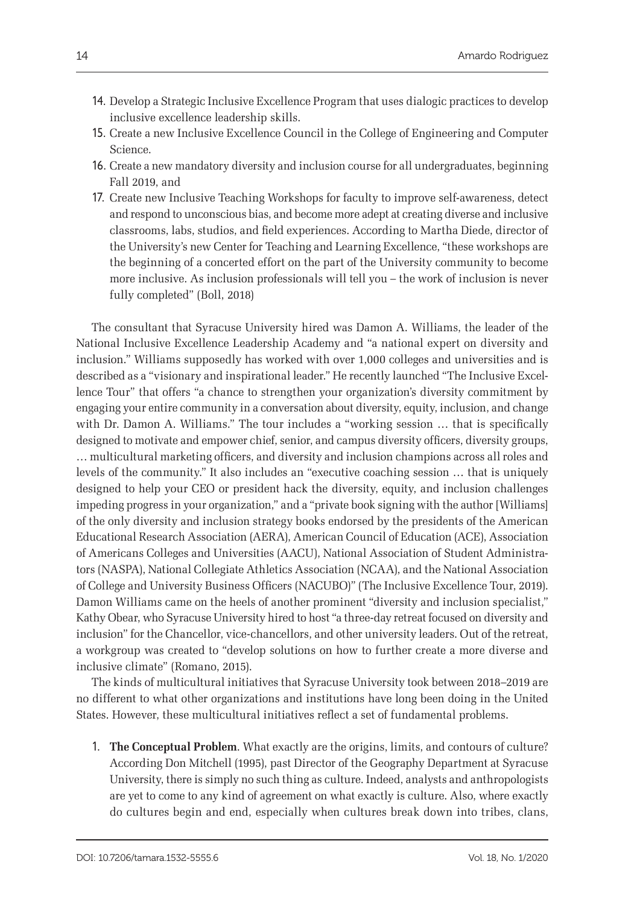- 14. Develop a Strategic Inclusive Excellence Program that uses dialogic practices to develop inclusive excellence leadership skills.
- 15. Create a new Inclusive Excellence Council in the College of Engineering and Computer Science.
- 16. Create a new mandatory diversity and inclusion course for all undergraduates, beginning Fall 2019, and
- 17. Create new Inclusive Teaching Workshops for faculty to improve self-awareness, detect and respond to unconscious bias, and become more adept at creating diverse and inclusive classrooms, labs, studios, and field experiences. According to Martha Diede, director of the University's new Center for Teaching and Learning Excellence, "these workshops are the beginning of a concerted effort on the part of the University community to become more inclusive. As inclusion professionals will tell you – the work of inclusion is never fully completed" (Boll, 2018)

The consultant that Syracuse University hired was Damon A. Williams, the leader of the National Inclusive Excellence Leadership Academy and "a national expert on diversity and inclusion." Williams supposedly has worked with over 1,000 colleges and universities and is described as a "visionary and inspirational leader." He recently launched "The Inclusive Excellence Tour" that offers "a chance to strengthen your organization's diversity commitment by engaging your entire community in a conversation about diversity, equity, inclusion, and change with Dr. Damon A. Williams." The tour includes a "working session ... that is specifically designed to motivate and empower chief, senior, and campus diversity officers, diversity groups, … multicultural marketing officers, and diversity and inclusion champions across all roles and levels of the community." It also includes an "executive coaching session … that is uniquely designed to help your CEO or president hack the diversity, equity, and inclusion challenges impeding progress in your organization," and a "private book signing with the author [Williams] of the only diversity and inclusion strategy books endorsed by the presidents of the American Educational Research Association (AERA), American Council of Education (ACE), Association of Americans Colleges and Universities (AACU), National Association of Student Administrators (NASPA), National Collegiate Athletics Association (NCAA), and the National Association of College and University Business Officers (NACUBO)" (The Inclusive Excellence Tour, 2019). Damon Williams came on the heels of another prominent "diversity and inclusion specialist," Kathy Obear, who Syracuse University hired to host "a three-day retreat focused on diversity and inclusion" for the Chancellor, vice-chancellors, and other university leaders. Out of the retreat, a workgroup was created to "develop solutions on how to further create a more diverse and inclusive climate" (Romano, 2015).

The kinds of multicultural initiatives that Syracuse University took between 2018–2019 are no different to what other organizations and institutions have long been doing in the United States. However, these multicultural initiatives reflect a set of fundamental problems.

1. **The Conceptual Problem**. What exactly are the origins, limits, and contours of culture? According Don Mitchell (1995), past Director of the Geography Department at Syracuse University, there is simply no such thing as culture. Indeed, analysts and anthropologists are yet to come to any kind of agreement on what exactly is culture. Also, where exactly do cultures begin and end, especially when cultures break down into tribes, clans,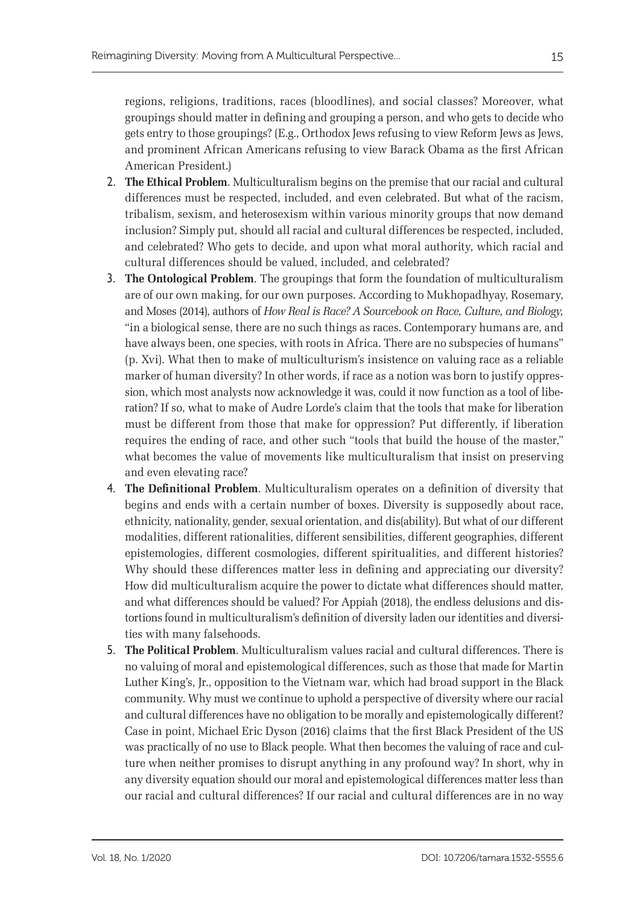regions, religions, traditions, races (bloodlines), and social classes? Moreover, what groupings should matter in defining and grouping a person, and who gets to decide who gets entry to those groupings? (E.g., Orthodox Jews refusing to view Reform Jews as Jews, and prominent African Americans refusing to view Barack Obama as the first African American President.)

- 2. **The Ethical Problem**. Multiculturalism begins on the premise that our racial and cultural differences must be respected, included, and even celebrated. But what of the racism, tribalism, sexism, and heterosexism within various minority groups that now demand inclusion? Simply put, should all racial and cultural differences be respected, included, and celebrated? Who gets to decide, and upon what moral authority, which racial and cultural differences should be valued, included, and celebrated?
- 3. **The Ontological Problem**. The groupings that form the foundation of multiculturalism are of our own making, for our own purposes. According to Mukhopadhyay, Rosemary, and Moses (2014), authors of *How Real is Race? A Sourcebook on Race, Culture, and Biology,*  "in a biological sense, there are no such things as races. Contemporary humans are, and have always been, one species, with roots in Africa. There are no subspecies of humans" (p. Xvi). What then to make of multiculturism's insistence on valuing race as a reliable marker of human diversity? In other words, if race as a notion was born to justify oppression, which most analysts now acknowledge it was, could it now function as a tool of liberation? If so, what to make of Audre Lorde's claim that the tools that make for liberation must be different from those that make for oppression? Put differently, if liberation requires the ending of race, and other such "tools that build the house of the master," what becomes the value of movements like multiculturalism that insist on preserving and even elevating race?
- 4. **The Definitional Problem**. Multiculturalism operates on a definition of diversity that begins and ends with a certain number of boxes. Diversity is supposedly about race, ethnicity, nationality, gender, sexual orientation, and dis(ability). But what of our different modalities, different rationalities, different sensibilities, different geographies, different epistemologies, different cosmologies, different spiritualities, and different histories? Why should these differences matter less in defining and appreciating our diversity? How did multiculturalism acquire the power to dictate what differences should matter, and what differences should be valued? For Appiah (2018), the endless delusions and distortions found in multiculturalism's definition of diversity laden our identities and diversities with many falsehoods.
- 5. **The Political Problem**. Multiculturalism values racial and cultural differences. There is no valuing of moral and epistemological differences, such as those that made for Martin Luther King's, Jr., opposition to the Vietnam war, which had broad support in the Black community. Why must we continue to uphold a perspective of diversity where our racial and cultural differences have no obligation to be morally and epistemologically different? Case in point, Michael Eric Dyson (2016) claims that the first Black President of the US was practically of no use to Black people. What then becomes the valuing of race and culture when neither promises to disrupt anything in any profound way? In short, why in any diversity equation should our moral and epistemological differences matter less than our racial and cultural differences? If our racial and cultural differences are in no way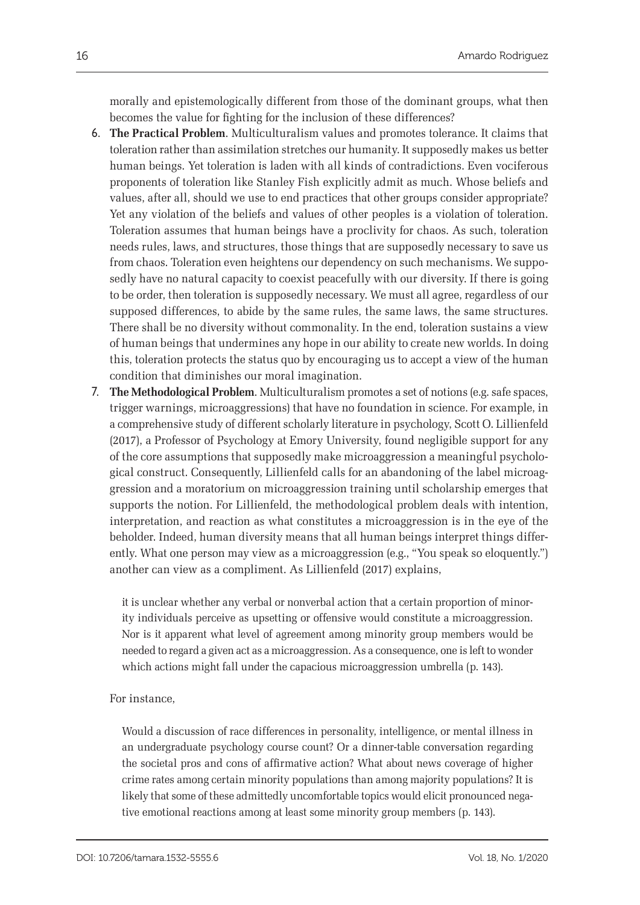morally and epistemologically different from those of the dominant groups, what then becomes the value for fighting for the inclusion of these differences?

- 6. **The Practical Problem**. Multiculturalism values and promotes tolerance. It claims that toleration rather than assimilation stretches our humanity. It supposedly makes us better human beings. Yet toleration is laden with all kinds of contradictions. Even vociferous proponents of toleration like Stanley Fish explicitly admit as much. Whose beliefs and values, after all, should we use to end practices that other groups consider appropriate? Yet any violation of the beliefs and values of other peoples is a violation of toleration. Toleration assumes that human beings have a proclivity for chaos. As such, toleration needs rules, laws, and structures, those things that are supposedly necessary to save us from chaos. Toleration even heightens our dependency on such mechanisms. We supposedly have no natural capacity to coexist peacefully with our diversity. If there is going to be order, then toleration is supposedly necessary. We must all agree, regardless of our supposed differences, to abide by the same rules, the same laws, the same structures. There shall be no diversity without commonality. In the end, toleration sustains a view of human beings that undermines any hope in our ability to create new worlds. In doing this, toleration protects the status quo by encouraging us to accept a view of the human condition that diminishes our moral imagination.
- 7. **The Methodological Problem**. Multiculturalism promotes a set of notions (e.g. safe spaces, trigger warnings, microaggressions) that have no foundation in science. For example, in a comprehensive study of different scholarly literature in psychology, Scott O. Lillienfeld (2017), a Professor of Psychology at Emory University, found negligible support for any of the core assumptions that supposedly make microaggression a meaningful psychological construct. Consequently, Lillienfeld calls for an abandoning of the label microaggression and a moratorium on microaggression training until scholarship emerges that supports the notion. For Lillienfeld, the methodological problem deals with intention, interpretation, and reaction as what constitutes a microaggression is in the eye of the beholder. Indeed, human diversity means that all human beings interpret things differently. What one person may view as a microaggression (e.g., "You speak so eloquently.") another can view as a compliment. As Lillienfeld (2017) explains,

it is unclear whether any verbal or nonverbal action that a certain proportion of minority individuals perceive as upsetting or offensive would constitute a microaggression. Nor is it apparent what level of agreement among minority group members would be needed to regard a given act as a microaggression. As a consequence, one is left to wonder which actions might fall under the capacious microaggression umbrella (p. 143).

#### For instance,

Would a discussion of race differences in personality, intelligence, or mental illness in an undergraduate psychology course count? Or a dinner-table conversation regarding the societal pros and cons of affirmative action? What about news coverage of higher crime rates among certain minority populations than among majority populations? It is likely that some of these admittedly uncomfortable topics would elicit pronounced negative emotional reactions among at least some minority group members (p. 143).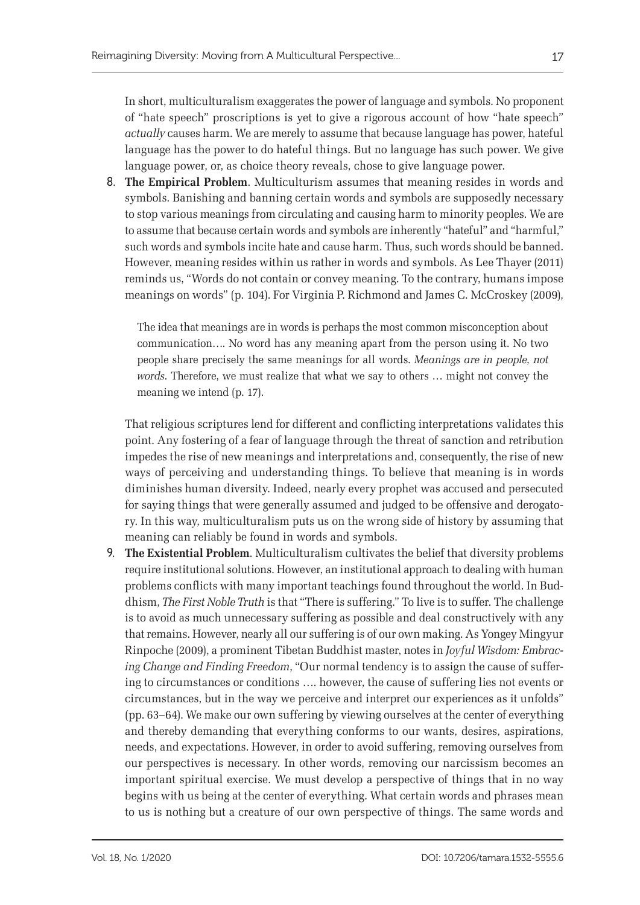In short, multiculturalism exaggerates the power of language and symbols. No proponent of "hate speech" proscriptions is yet to give a rigorous account of how "hate speech" *actually* causes harm. We are merely to assume that because language has power, hateful language has the power to do hateful things. But no language has such power. We give language power, or, as choice theory reveals, chose to give language power.

8. **The Empirical Problem**. Multiculturism assumes that meaning resides in words and symbols. Banishing and banning certain words and symbols are supposedly necessary to stop various meanings from circulating and causing harm to minority peoples. We are to assume that because certain words and symbols are inherently "hateful" and "harmful," such words and symbols incite hate and cause harm. Thus, such words should be banned. However, meaning resides within us rather in words and symbols. As Lee Thayer (2011) reminds us, "Words do not contain or convey meaning. To the contrary, humans impose meanings on words" (p. 104). For Virginia P. Richmond and James C. McCroskey (2009),

The idea that meanings are in words is perhaps the most common misconception about communication…. No word has any meaning apart from the person using it. No two people share precisely the same meanings for all words. *Meanings are in people, not words*. Therefore, we must realize that what we say to others … might not convey the meaning we intend (p. 17).

That religious scriptures lend for different and conflicting interpretations validates this point. Any fostering of a fear of language through the threat of sanction and retribution impedes the rise of new meanings and interpretations and, consequently, the rise of new ways of perceiving and understanding things. To believe that meaning is in words diminishes human diversity. Indeed, nearly every prophet was accused and persecuted for saying things that were generally assumed and judged to be offensive and derogatory. In this way, multiculturalism puts us on the wrong side of history by assuming that meaning can reliably be found in words and symbols.

9. **The Existential Problem**. Multiculturalism cultivates the belief that diversity problems require institutional solutions. However, an institutional approach to dealing with human problems conflicts with many important teachings found throughout the world. In Buddhism, *The First Noble Truth* is that "There is suffering." To live is to suffer. The challenge is to avoid as much unnecessary suffering as possible and deal constructively with any that remains. However, nearly all our suffering is of our own making. As Yongey Mingyur Rinpoche (2009), a prominent Tibetan Buddhist master, notes in *Joyful Wisdom: Embracing Change and Finding Freedom*, "Our normal tendency is to assign the cause of suffering to circumstances or conditions …. however, the cause of suffering lies not events or circumstances, but in the way we perceive and interpret our experiences as it unfolds" (pp. 63–64). We make our own suffering by viewing ourselves at the center of everything and thereby demanding that everything conforms to our wants, desires, aspirations, needs, and expectations. However, in order to avoid suffering, removing ourselves from our perspectives is necessary. In other words, removing our narcissism becomes an important spiritual exercise. We must develop a perspective of things that in no way begins with us being at the center of everything. What certain words and phrases mean to us is nothing but a creature of our own perspective of things. The same words and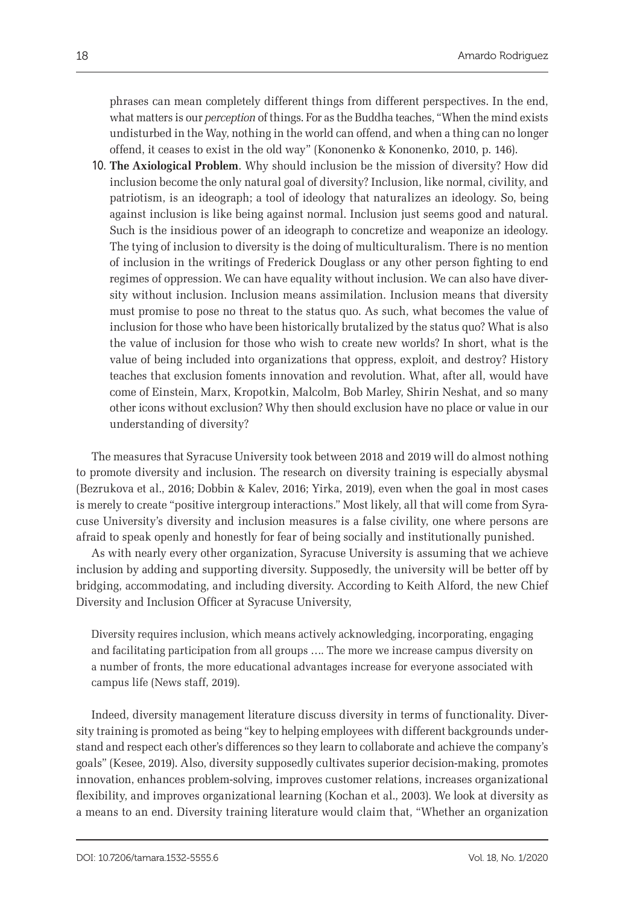phrases can mean completely different things from different perspectives. In the end, what matters is our *perception* of things. For as the Buddha teaches, "When the mind exists undisturbed in the Way, nothing in the world can offend, and when a thing can no longer offend, it ceases to exist in the old way" (Kononenko & Kononenko, 2010, p. 146).

10. **The Axiological Problem**. Why should inclusion be the mission of diversity? How did inclusion become the only natural goal of diversity? Inclusion, like normal, civility, and patriotism, is an ideograph; a tool of ideology that naturalizes an ideology. So, being against inclusion is like being against normal. Inclusion just seems good and natural. Such is the insidious power of an ideograph to concretize and weaponize an ideology. The tying of inclusion to diversity is the doing of multiculturalism. There is no mention of inclusion in the writings of Frederick Douglass or any other person fighting to end regimes of oppression. We can have equality without inclusion. We can also have diversity without inclusion. Inclusion means assimilation. Inclusion means that diversity must promise to pose no threat to the status quo. As such, what becomes the value of inclusion for those who have been historically brutalized by the status quo? What is also the value of inclusion for those who wish to create new worlds? In short, what is the value of being included into organizations that oppress, exploit, and destroy? History teaches that exclusion foments innovation and revolution. What, after all, would have come of Einstein, Marx, Kropotkin, Malcolm, Bob Marley, Shirin Neshat, and so many other icons without exclusion? Why then should exclusion have no place or value in our understanding of diversity?

The measures that Syracuse University took between 2018 and 2019 will do almost nothing to promote diversity and inclusion. The research on diversity training is especially abysmal (Bezrukova et al., 2016; Dobbin & Kalev, 2016; Yirka, 2019), even when the goal in most cases is merely to create "positive intergroup interactions." Most likely, all that will come from Syracuse University's diversity and inclusion measures is a false civility, one where persons are afraid to speak openly and honestly for fear of being socially and institutionally punished.

As with nearly every other organization, Syracuse University is assuming that we achieve inclusion by adding and supporting diversity. Supposedly, the university will be better off by bridging, accommodating, and including diversity. According to Keith Alford, the new Chief Diversity and Inclusion Officer at Syracuse University,

Diversity requires inclusion, which means actively acknowledging, incorporating, engaging and facilitating participation from all groups …. The more we increase campus diversity on a number of fronts, the more educational advantages increase for everyone associated with campus life (News staff, 2019).

Indeed, diversity management literature discuss diversity in terms of functionality. Diversity training is promoted as being "key to helping employees with different backgrounds understand and respect each other's differences so they learn to collaborate and achieve the company's goals" (Kesee, 2019). Also, diversity supposedly cultivates superior decision-making, promotes innovation, enhances problem-solving, improves customer relations, increases organizational flexibility, and improves organizational learning (Kochan et al., 2003). We look at diversity as a means to an end. Diversity training literature would claim that, "Whether an organization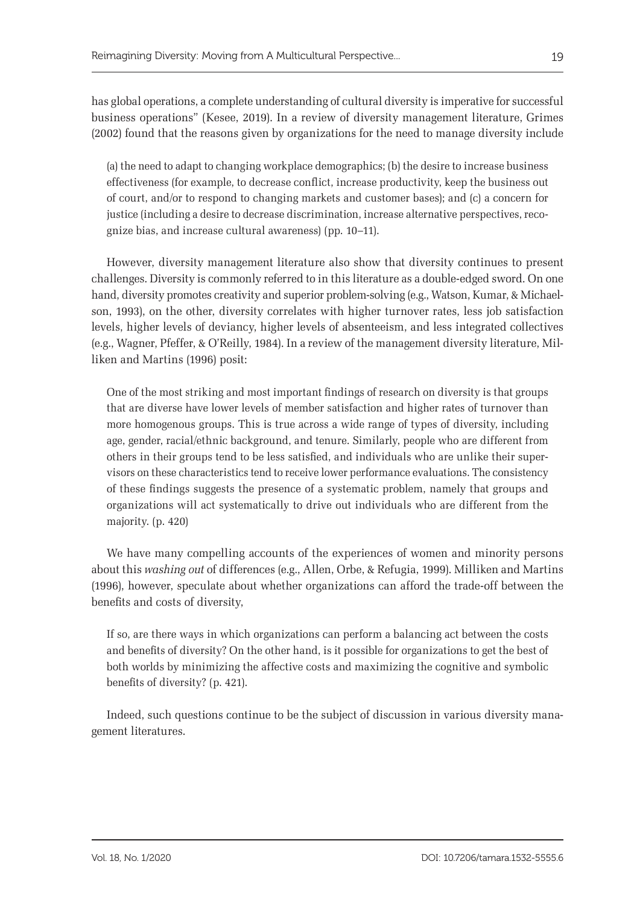has global operations, a complete understanding of cultural diversity is imperative for successful business operations" (Kesee, 2019). In a review of diversity management literature, Grimes (2002) found that the reasons given by organizations for the need to manage diversity include

(a) the need to adapt to changing workplace demographics; (b) the desire to increase business effectiveness (for example, to decrease conflict, increase productivity, keep the business out of court, and/or to respond to changing markets and customer bases); and (c) a concern for justice (including a desire to decrease discrimination, increase alternative perspectives, recognize bias, and increase cultural awareness) (pp. 10–11).

However, diversity management literature also show that diversity continues to present challenges. Diversity is commonly referred to in this literature as a double-edged sword. On one hand, diversity promotes creativity and superior problem-solving (e.g., Watson, Kumar, & Michaelson, 1993), on the other, diversity correlates with higher turnover rates, less job satisfaction levels, higher levels of deviancy, higher levels of absenteeism, and less integrated collectives (e.g., Wagner, Pfeffer, & O'Reilly, 1984). In a review of the management diversity literature, Milliken and Martins (1996) posit:

One of the most striking and most important findings of research on diversity is that groups that are diverse have lower levels of member satisfaction and higher rates of turnover than more homogenous groups. This is true across a wide range of types of diversity, including age, gender, racial/ethnic background, and tenure. Similarly, people who are different from others in their groups tend to be less satisfied, and individuals who are unlike their supervisors on these characteristics tend to receive lower performance evaluations. The consistency of these findings suggests the presence of a systematic problem, namely that groups and organizations will act systematically to drive out individuals who are different from the majority. (p. 420)

We have many compelling accounts of the experiences of women and minority persons about this *washing out* of differences (e.g., Allen, Orbe, & Refugia, 1999). Milliken and Martins (1996), however, speculate about whether organizations can afford the trade-off between the benefits and costs of diversity,

If so, are there ways in which organizations can perform a balancing act between the costs and benefits of diversity? On the other hand, is it possible for organizations to get the best of both worlds by minimizing the affective costs and maximizing the cognitive and symbolic benefits of diversity? (p. 421).

Indeed, such questions continue to be the subject of discussion in various diversity management literatures.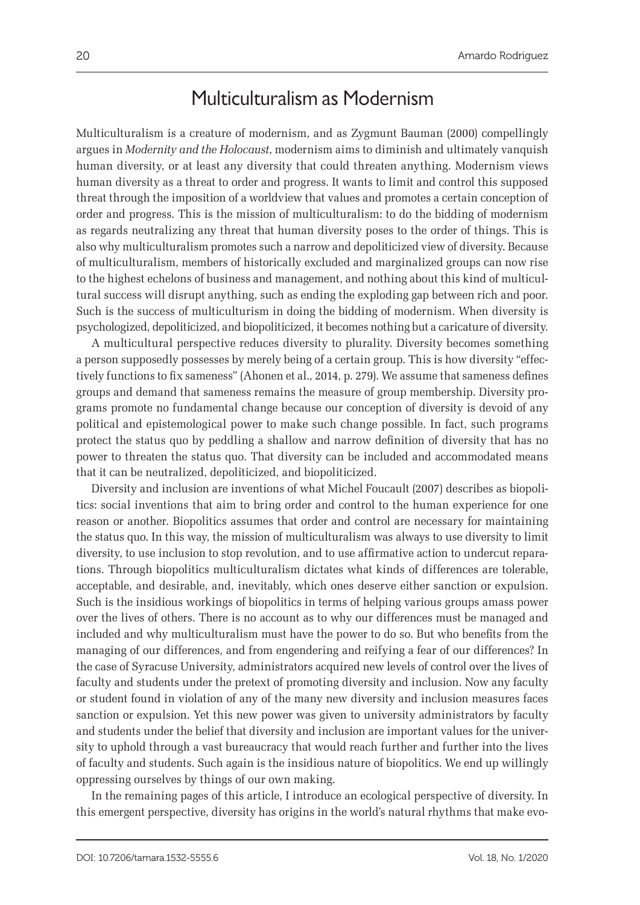# Multiculturalism as Modernism

Multiculturalism is a creature of modernism, and as Zygmunt Bauman (2000) compellingly argues in *Modernity and the Holocaust*, modernism aims to diminish and ultimately vanquish human diversity, or at least any diversity that could threaten anything. Modernism views human diversity as a threat to order and progress. It wants to limit and control this supposed threat through the imposition of a worldview that values and promotes a certain conception of order and progress. This is the mission of multiculturalism: to do the bidding of modernism as regards neutralizing any threat that human diversity poses to the order of things. This is also why multiculturalism promotes such a narrow and depoliticized view of diversity. Because of multiculturalism, members of historically excluded and marginalized groups can now rise to the highest echelons of business and management, and nothing about this kind of multicultural success will disrupt anything, such as ending the exploding gap between rich and poor. Such is the success of multiculturism in doing the bidding of modernism. When diversity is psychologized, depoliticized, and biopoliticized, it becomes nothing but a caricature of diversity.

A multicultural perspective reduces diversity to plurality. Diversity becomes something a person supposedly possesses by merely being of a certain group. This is how diversity "effectively functions to fix sameness" (Ahonen et al., 2014, p. 279). We assume that sameness defines groups and demand that sameness remains the measure of group membership. Diversity programs promote no fundamental change because our conception of diversity is devoid of any political and epistemological power to make such change possible. In fact, such programs protect the status quo by peddling a shallow and narrow definition of diversity that has no power to threaten the status quo. That diversity can be included and accommodated means that it can be neutralized, depoliticized, and biopoliticized.

Diversity and inclusion are inventions of what Michel Foucault (2007) describes as biopolitics: social inventions that aim to bring order and control to the human experience for one reason or another. Biopolitics assumes that order and control are necessary for maintaining the status quo. In this way, the mission of multiculturalism was always to use diversity to limit diversity, to use inclusion to stop revolution, and to use affirmative action to undercut reparations. Through biopolitics multiculturalism dictates what kinds of differences are tolerable, acceptable, and desirable, and, inevitably, which ones deserve either sanction or expulsion. Such is the insidious workings of biopolitics in terms of helping various groups amass power over the lives of others. There is no account as to why our differences must be managed and included and why multiculturalism must have the power to do so. But who benefits from the managing of our differences, and from engendering and reifying a fear of our differences? In the case of Syracuse University, administrators acquired new levels of control over the lives of faculty and students under the pretext of promoting diversity and inclusion. Now any faculty or student found in violation of any of the many new diversity and inclusion measures faces sanction or expulsion. Yet this new power was given to university administrators by faculty and students under the belief that diversity and inclusion are important values for the university to uphold through a vast bureaucracy that would reach further and further into the lives of faculty and students. Such again is the insidious nature of biopolitics. We end up willingly oppressing ourselves by things of our own making.

In the remaining pages of this article, I introduce an ecological perspective of diversity. In this emergent perspective, diversity has origins in the world's natural rhythms that make evo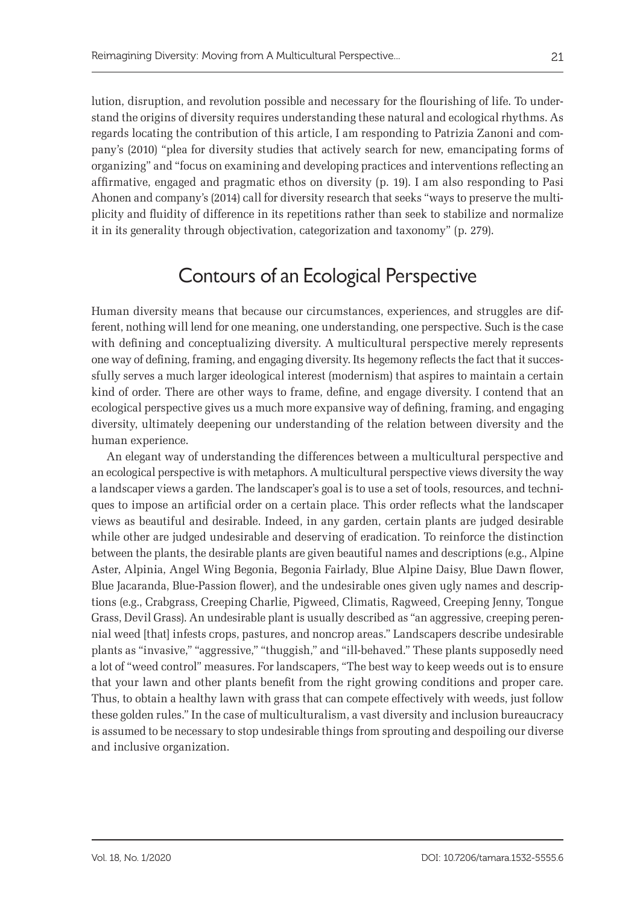lution, disruption, and revolution possible and necessary for the flourishing of life. To understand the origins of diversity requires understanding these natural and ecological rhythms. As regards locating the contribution of this article, I am responding to Patrizia Zanoni and company's (2010) "plea for diversity studies that actively search for new, emancipating forms of organizing" and "focus on examining and developing practices and interventions reflecting an affirmative, engaged and pragmatic ethos on diversity (p. 19). I am also responding to Pasi Ahonen and company's (2014) call for diversity research that seeks "ways to preserve the multiplicity and fluidity of difference in its repetitions rather than seek to stabilize and normalize it in its generality through objectivation, categorization and taxonomy" (p. 279).

## Contours of an Ecological Perspective

Human diversity means that because our circumstances, experiences, and struggles are different, nothing will lend for one meaning, one understanding, one perspective. Such is the case with defining and conceptualizing diversity. A multicultural perspective merely represents one way of defining, framing, and engaging diversity. Its hegemony reflects the fact that it successfully serves a much larger ideological interest (modernism) that aspires to maintain a certain kind of order. There are other ways to frame, define, and engage diversity. I contend that an ecological perspective gives us a much more expansive way of defining, framing, and engaging diversity, ultimately deepening our understanding of the relation between diversity and the human experience.

An elegant way of understanding the differences between a multicultural perspective and an ecological perspective is with metaphors. A multicultural perspective views diversity the way a landscaper views a garden. The landscaper's goal is to use a set of tools, resources, and techniques to impose an artificial order on a certain place. This order reflects what the landscaper views as beautiful and desirable. Indeed, in any garden, certain plants are judged desirable while other are judged undesirable and deserving of eradication. To reinforce the distinction between the plants, the desirable plants are given beautiful names and descriptions (e.g., Alpine Aster, Alpinia, Angel Wing Begonia, Begonia Fairlady, Blue Alpine Daisy, Blue Dawn flower, Blue Jacaranda, Blue-Passion flower), and the undesirable ones given ugly names and descriptions (e.g., Crabgrass, Creeping Charlie, Pigweed, Climatis, Ragweed, Creeping Jenny, Tongue Grass, Devil Grass). An undesirable plant is usually described as "an aggressive, creeping perennial weed [that] infests crops, pastures, and noncrop areas." Landscapers describe undesirable plants as "invasive," "aggressive," "thuggish," and "ill-behaved." These plants supposedly need a lot of "weed control" measures. For landscapers, "The best way to keep weeds out is to ensure that your lawn and other plants benefit from the right growing conditions and proper care. Thus, to obtain a healthy lawn with grass that can compete effectively with weeds, just follow these golden rules." In the case of multiculturalism, a vast diversity and inclusion bureaucracy is assumed to be necessary to stop undesirable things from sprouting and despoiling our diverse and inclusive organization.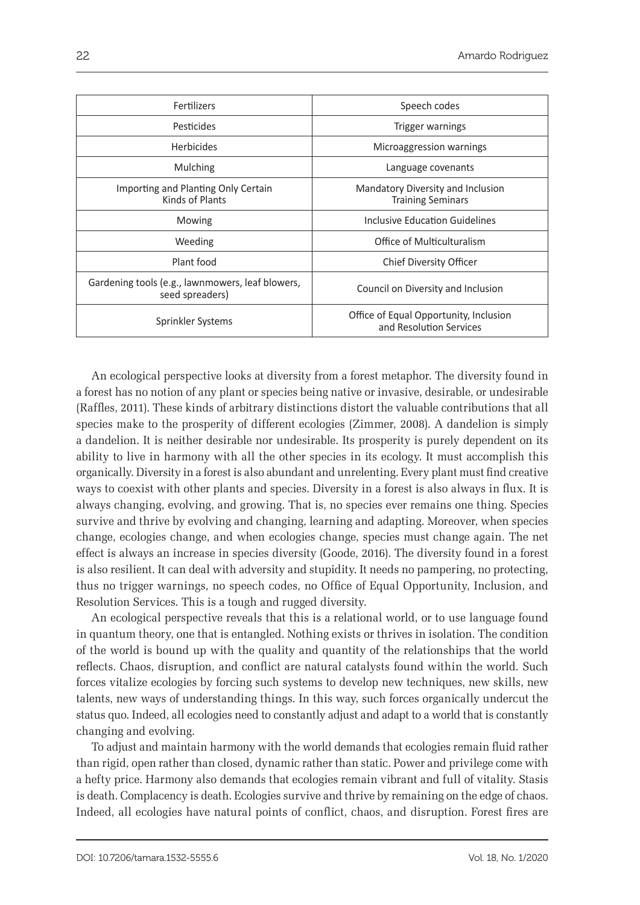| Fertilizers                                                         | Speech codes                                                      |
|---------------------------------------------------------------------|-------------------------------------------------------------------|
| Pesticides                                                          | Trigger warnings                                                  |
| <b>Herbicides</b>                                                   | Microaggression warnings                                          |
| Mulching                                                            | Language covenants                                                |
| Importing and Planting Only Certain<br>Kinds of Plants              | Mandatory Diversity and Inclusion<br><b>Training Seminars</b>     |
| Mowing                                                              | Inclusive Education Guidelines                                    |
| Weeding                                                             | Office of Multiculturalism                                        |
| Plant food                                                          | <b>Chief Diversity Officer</b>                                    |
| Gardening tools (e.g., lawnmowers, leaf blowers,<br>seed spreaders) | Council on Diversity and Inclusion                                |
| Sprinkler Systems                                                   | Office of Equal Opportunity, Inclusion<br>and Resolution Services |

An ecological perspective looks at diversity from a forest metaphor. The diversity found in a forest has no notion of any plant or species being native or invasive, desirable, or undesirable (Raffles, 2011). These kinds of arbitrary distinctions distort the valuable contributions that all species make to the prosperity of different ecologies (Zimmer, 2008). A dandelion is simply a dandelion. It is neither desirable nor undesirable. Its prosperity is purely dependent on its ability to live in harmony with all the other species in its ecology. It must accomplish this organically. Diversity in a forest is also abundant and unrelenting. Every plant must find creative ways to coexist with other plants and species. Diversity in a forest is also always in flux. It is always changing, evolving, and growing. That is, no species ever remains one thing. Species survive and thrive by evolving and changing, learning and adapting. Moreover, when species change, ecologies change, and when ecologies change, species must change again. The net effect is always an increase in species diversity (Goode, 2016). The diversity found in a forest is also resilient. It can deal with adversity and stupidity. It needs no pampering, no protecting, thus no trigger warnings, no speech codes, no Office of Equal Opportunity, Inclusion, and Resolution Services. This is a tough and rugged diversity.

An ecological perspective reveals that this is a relational world, or to use language found in quantum theory, one that is entangled. Nothing exists or thrives in isolation. The condition of the world is bound up with the quality and quantity of the relationships that the world reflects. Chaos, disruption, and conflict are natural catalysts found within the world. Such forces vitalize ecologies by forcing such systems to develop new techniques, new skills, new talents, new ways of understanding things. In this way, such forces organically undercut the status quo. Indeed, all ecologies need to constantly adjust and adapt to a world that is constantly changing and evolving.

To adjust and maintain harmony with the world demands that ecologies remain fluid rather than rigid, open rather than closed, dynamic rather than static. Power and privilege come with a hefty price. Harmony also demands that ecologies remain vibrant and full of vitality. Stasis is death. Complacency is death. Ecologies survive and thrive by remaining on the edge of chaos. Indeed, all ecologies have natural points of conflict, chaos, and disruption. Forest fires are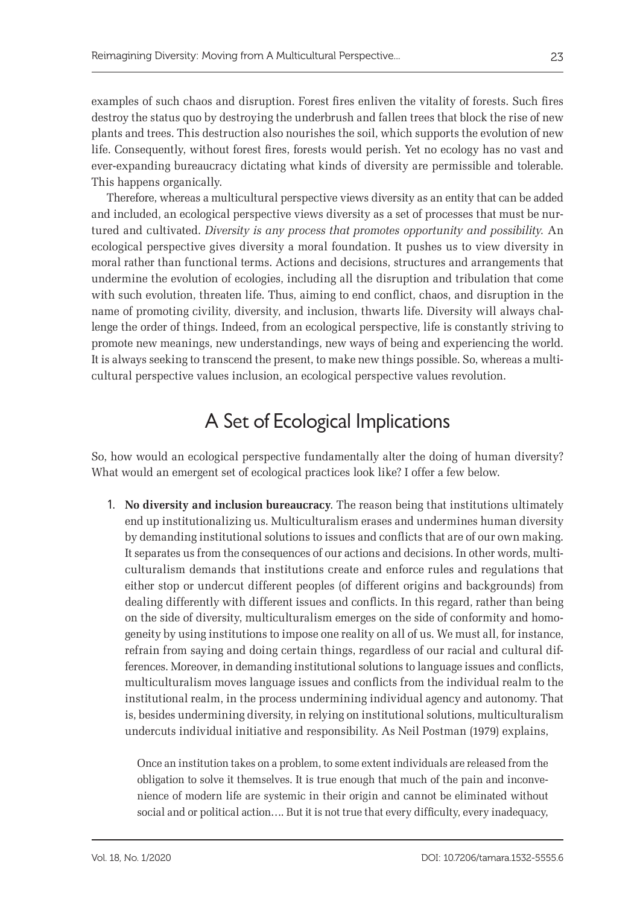examples of such chaos and disruption. Forest fires enliven the vitality of forests. Such fires destroy the status quo by destroying the underbrush and fallen trees that block the rise of new plants and trees. This destruction also nourishes the soil, which supports the evolution of new life. Consequently, without forest fires, forests would perish. Yet no ecology has no vast and ever-expanding bureaucracy dictating what kinds of diversity are permissible and tolerable. This happens organically.

Therefore, whereas a multicultural perspective views diversity as an entity that can be added and included, an ecological perspective views diversity as a set of processes that must be nurtured and cultivated. *Diversity is any process that promotes opportunity and possibility.* An ecological perspective gives diversity a moral foundation. It pushes us to view diversity in moral rather than functional terms. Actions and decisions, structures and arrangements that undermine the evolution of ecologies, including all the disruption and tribulation that come with such evolution, threaten life. Thus, aiming to end conflict, chaos, and disruption in the name of promoting civility, diversity, and inclusion, thwarts life. Diversity will always challenge the order of things. Indeed, from an ecological perspective, life is constantly striving to promote new meanings, new understandings, new ways of being and experiencing the world. It is always seeking to transcend the present, to make new things possible. So, whereas a multicultural perspective values inclusion, an ecological perspective values revolution.

# A Set of Ecological Implications

So, how would an ecological perspective fundamentally alter the doing of human diversity? What would an emergent set of ecological practices look like? I offer a few below.

1. **No diversity and inclusion bureaucracy**. The reason being that institutions ultimately end up institutionalizing us. Multiculturalism erases and undermines human diversity by demanding institutional solutions to issues and conflicts that are of our own making. It separates us from the consequences of our actions and decisions. In other words, multiculturalism demands that institutions create and enforce rules and regulations that either stop or undercut different peoples (of different origins and backgrounds) from dealing differently with different issues and conflicts. In this regard, rather than being on the side of diversity, multiculturalism emerges on the side of conformity and homogeneity by using institutions to impose one reality on all of us. We must all, for instance, refrain from saying and doing certain things, regardless of our racial and cultural differences. Moreover, in demanding institutional solutions to language issues and conflicts, multiculturalism moves language issues and conflicts from the individual realm to the institutional realm, in the process undermining individual agency and autonomy. That is, besides undermining diversity, in relying on institutional solutions, multiculturalism undercuts individual initiative and responsibility. As Neil Postman (1979) explains,

Once an institution takes on a problem, to some extent individuals are released from the obligation to solve it themselves. It is true enough that much of the pain and inconvenience of modern life are systemic in their origin and cannot be eliminated without social and or political action…. But it is not true that every difficulty, every inadequacy,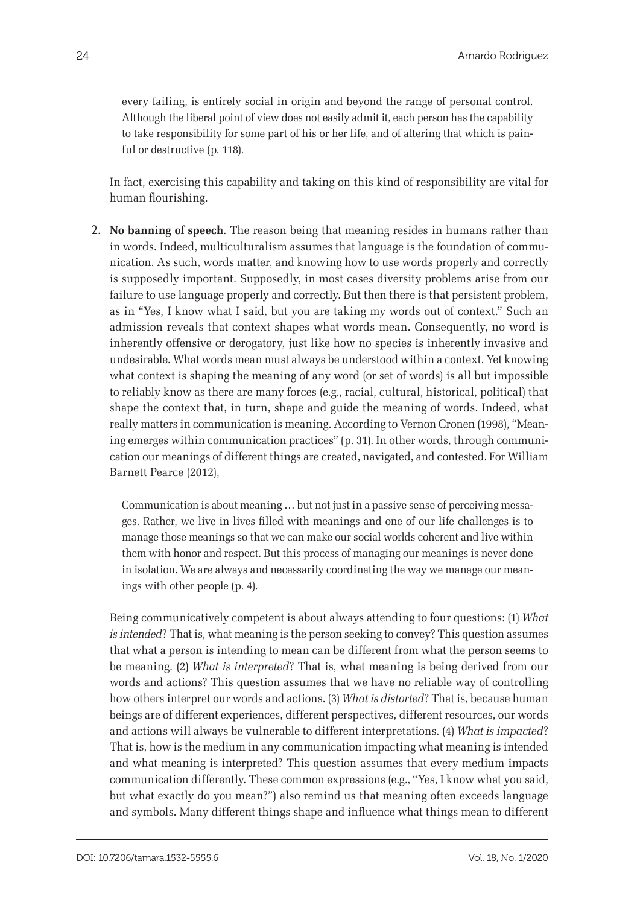every failing, is entirely social in origin and beyond the range of personal control. Although the liberal point of view does not easily admit it, each person has the capability to take responsibility for some part of his or her life, and of altering that which is painful or destructive (p. 118).

In fact, exercising this capability and taking on this kind of responsibility are vital for human flourishing.

2. **No banning of speech**. The reason being that meaning resides in humans rather than in words. Indeed, multiculturalism assumes that language is the foundation of communication. As such, words matter, and knowing how to use words properly and correctly is supposedly important. Supposedly, in most cases diversity problems arise from our failure to use language properly and correctly. But then there is that persistent problem, as in "Yes, I know what I said, but you are taking my words out of context." Such an admission reveals that context shapes what words mean. Consequently, no word is inherently offensive or derogatory, just like how no species is inherently invasive and undesirable. What words mean must always be understood within a context. Yet knowing what context is shaping the meaning of any word (or set of words) is all but impossible to reliably know as there are many forces (e.g., racial, cultural, historical, political) that shape the context that, in turn, shape and guide the meaning of words. Indeed, what really matters in communication is meaning. According to Vernon Cronen (1998), "Meaning emerges within communication practices" (p. 31). In other words, through communication our meanings of different things are created, navigated, and contested. For William Barnett Pearce (2012),

Communication is about meaning … but not just in a passive sense of perceiving messages. Rather, we live in lives filled with meanings and one of our life challenges is to manage those meanings so that we can make our social worlds coherent and live within them with honor and respect. But this process of managing our meanings is never done in isolation. We are always and necessarily coordinating the way we manage our meanings with other people (p. 4).

Being communicatively competent is about always attending to four questions: (1) *What is intended*? That is, what meaning is the person seeking to convey? This question assumes that what a person is intending to mean can be different from what the person seems to be meaning. (2) *What is interpreted*? That is, what meaning is being derived from our words and actions? This question assumes that we have no reliable way of controlling how others interpret our words and actions. (3) *What is distorted*? That is, because human beings are of different experiences, different perspectives, different resources, our words and actions will always be vulnerable to different interpretations. (4) *What is impacted*? That is, how is the medium in any communication impacting what meaning is intended and what meaning is interpreted? This question assumes that every medium impacts communication differently. These common expressions (e.g., "Yes, I know what you said, but what exactly do you mean?") also remind us that meaning often exceeds language and symbols. Many different things shape and influence what things mean to different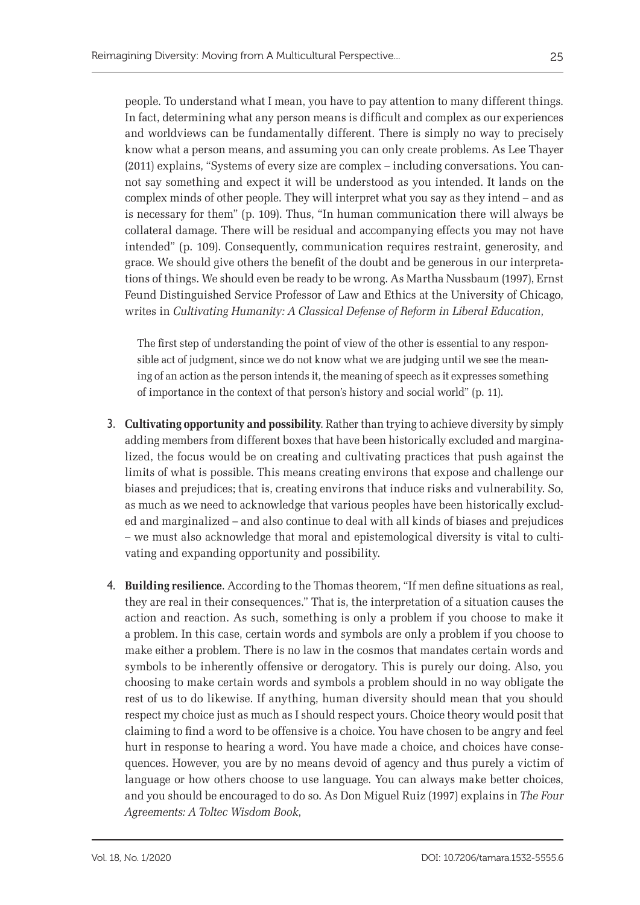people. To understand what I mean, you have to pay attention to many different things. In fact, determining what any person means is difficult and complex as our experiences and worldviews can be fundamentally different. There is simply no way to precisely know what a person means, and assuming you can only create problems. As Lee Thayer (2011) explains, "Systems of every size are complex – including conversations. You cannot say something and expect it will be understood as you intended. It lands on the complex minds of other people. They will interpret what you say as they intend – and as is necessary for them" (p. 109). Thus, "In human communication there will always be collateral damage. There will be residual and accompanying effects you may not have intended" (p. 109). Consequently, communication requires restraint, generosity, and grace. We should give others the benefit of the doubt and be generous in our interpretations of things. We should even be ready to be wrong. As Martha Nussbaum (1997), Ernst Feund Distinguished Service Professor of Law and Ethics at the University of Chicago, writes in *Cultivating Humanity: A Classical Defense of Reform in Liberal Education*,

The first step of understanding the point of view of the other is essential to any responsible act of judgment, since we do not know what we are judging until we see the meaning of an action as the person intends it, the meaning of speech as it expresses something of importance in the context of that person's history and social world" (p. 11).

- 3. **Cultivating opportunity and possibility**. Rather than trying to achieve diversity by simply adding members from different boxes that have been historically excluded and marginalized, the focus would be on creating and cultivating practices that push against the limits of what is possible. This means creating environs that expose and challenge our biases and prejudices; that is, creating environs that induce risks and vulnerability. So, as much as we need to acknowledge that various peoples have been historically excluded and marginalized – and also continue to deal with all kinds of biases and prejudices – we must also acknowledge that moral and epistemological diversity is vital to cultivating and expanding opportunity and possibility.
- 4. **Building resilience**. According to the Thomas theorem, "If men define situations as real, they are real in their consequences." That is, the interpretation of a situation causes the action and reaction. As such, something is only a problem if you choose to make it a problem. In this case, certain words and symbols are only a problem if you choose to make either a problem. There is no law in the cosmos that mandates certain words and symbols to be inherently offensive or derogatory. This is purely our doing. Also, you choosing to make certain words and symbols a problem should in no way obligate the rest of us to do likewise. If anything, human diversity should mean that you should respect my choice just as much as I should respect yours. Choice theory would posit that claiming to find a word to be offensive is a choice. You have chosen to be angry and feel hurt in response to hearing a word. You have made a choice, and choices have consequences. However, you are by no means devoid of agency and thus purely a victim of language or how others choose to use language. You can always make better choices, and you should be encouraged to do so. As Don Miguel Ruiz (1997) explains in *The Four Agreements: A Toltec Wisdom Book*,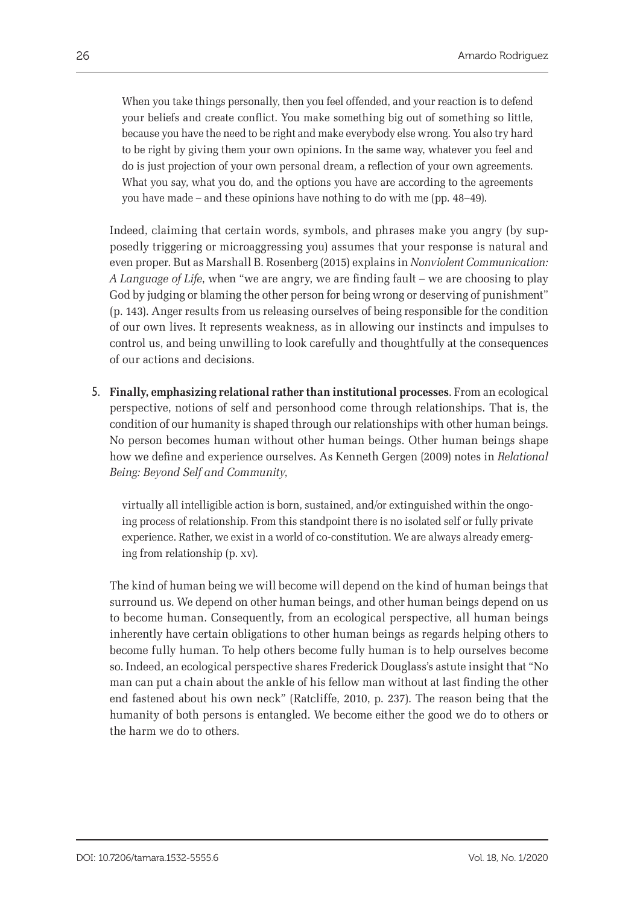When you take things personally, then you feel offended, and your reaction is to defend your beliefs and create conflict. You make something big out of something so little, because you have the need to be right and make everybody else wrong. You also try hard to be right by giving them your own opinions. In the same way, whatever you feel and do is just projection of your own personal dream, a reflection of your own agreements. What you say, what you do, and the options you have are according to the agreements you have made – and these opinions have nothing to do with me (pp. 48–49).

Indeed, claiming that certain words, symbols, and phrases make you angry (by supposedly triggering or microaggressing you) assumes that your response is natural and even proper. But as Marshall B. Rosenberg (2015) explains in *Nonviolent Communication: A Language of Life*, when "we are angry, we are finding fault – we are choosing to play God by judging or blaming the other person for being wrong or deserving of punishment" (p. 143). Anger results from us releasing ourselves of being responsible for the condition of our own lives. It represents weakness, as in allowing our instincts and impulses to control us, and being unwilling to look carefully and thoughtfully at the consequences of our actions and decisions.

5. **Finally, emphasizing relational rather than institutional processes**. From an ecological perspective, notions of self and personhood come through relationships. That is, the condition of our humanity is shaped through our relationships with other human beings. No person becomes human without other human beings. Other human beings shape how we define and experience ourselves. As Kenneth Gergen (2009) notes in *Relational Being: Beyond Self and Community*,

virtually all intelligible action is born, sustained, and/or extinguished within the ongoing process of relationship. From this standpoint there is no isolated self or fully private experience. Rather, we exist in a world of co-constitution. We are always already emerging from relationship (p. xv).

The kind of human being we will become will depend on the kind of human beings that surround us. We depend on other human beings, and other human beings depend on us to become human. Consequently, from an ecological perspective, all human beings inherently have certain obligations to other human beings as regards helping others to become fully human. To help others become fully human is to help ourselves become so. Indeed, an ecological perspective shares Frederick Douglass's astute insight that "No man can put a chain about the ankle of his fellow man without at last finding the other end fastened about his own neck" (Ratcliffe, 2010, p. 237). The reason being that the humanity of both persons is entangled. We become either the good we do to others or the harm we do to others.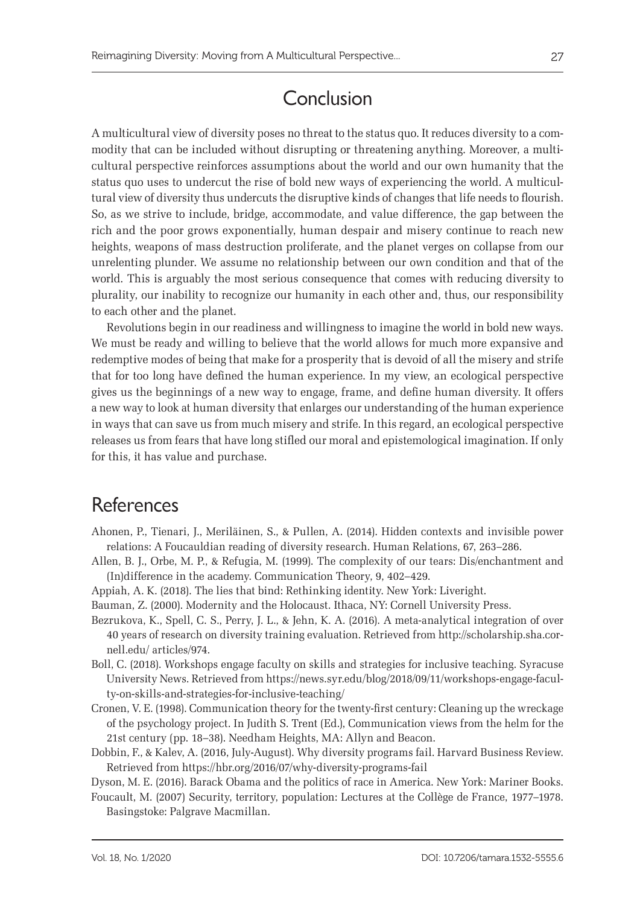# Conclusion

A multicultural view of diversity poses no threat to the status quo. It reduces diversity to a commodity that can be included without disrupting or threatening anything. Moreover, a multicultural perspective reinforces assumptions about the world and our own humanity that the status quo uses to undercut the rise of bold new ways of experiencing the world. A multicultural view of diversity thus undercuts the disruptive kinds of changes that life needs to flourish. So, as we strive to include, bridge, accommodate, and value difference, the gap between the rich and the poor grows exponentially, human despair and misery continue to reach new heights, weapons of mass destruction proliferate, and the planet verges on collapse from our unrelenting plunder. We assume no relationship between our own condition and that of the world. This is arguably the most serious consequence that comes with reducing diversity to plurality, our inability to recognize our humanity in each other and, thus, our responsibility to each other and the planet.

Revolutions begin in our readiness and willingness to imagine the world in bold new ways. We must be ready and willing to believe that the world allows for much more expansive and redemptive modes of being that make for a prosperity that is devoid of all the misery and strife that for too long have defined the human experience. In my view, an ecological perspective gives us the beginnings of a new way to engage, frame, and define human diversity. It offers a new way to look at human diversity that enlarges our understanding of the human experience in ways that can save us from much misery and strife. In this regard, an ecological perspective releases us from fears that have long stifled our moral and epistemological imagination. If only for this, it has value and purchase.

### References

- Ahonen, P., Tienari, J., Meriläinen, S., & Pullen, A. (2014). Hidden contexts and invisible power relations: A Foucauldian reading of diversity research. Human Relations, 67, 263–286.
- Allen, B. J., Orbe, M. P., & Refugia, M. (1999). The complexity of our tears: Dis/enchantment and (In)difference in the academy. Communication Theory, 9, 402–429.
- Appiah, A. K. (2018). The lies that bind: Rethinking identity. New York: Liveright.
- Bauman, Z. (2000). Modernity and the Holocaust. Ithaca, NY: Cornell University Press.
- Bezrukova, K., Spell, C. S., Perry, J. L., & Jehn, K. A. (2016). A meta-analytical integration of over 40 years of research on diversity training evaluation. Retrieved from [http://scholarship.sha.cor](http://scholarship.sha.cornell.edu)[nell.edu](http://scholarship.sha.cornell.edu)/ articles/974.
- Boll, C. (2018). Workshops engage faculty on skills and strategies for inclusive teaching. Syracuse University News. Retrieved from [https://news.syr.edu/blog/2018/09/11/workshops-](https://news.syr.edu/blog/2018/09/11/workshops)engage-faculty-on-skills-and-strategies-for-inclusive-teaching/
- Cronen, V. E. (1998). Communication theory for the twenty-first century: Cleaning up the wreckage of the psychology project. In Judith S. Trent (Ed.), Communication views from the helm for the 21st century (pp. 18–38). Needham Heights, MA: Allyn and Beacon.
- Dobbin, F., & Kalev, A. (2016, July-August). Why diversity programs fail. Harvard Business Review. Retrieved from<https://hbr.org/2016/07/why>-diversity-programs-fail

Dyson, M. E. (2016). Barack Obama and the politics of race in America. New York: Mariner Books.

Foucault, M. (2007) Security, territory, population: Lectures at the Collège de France, 1977–1978. Basingstoke: Palgrave Macmillan.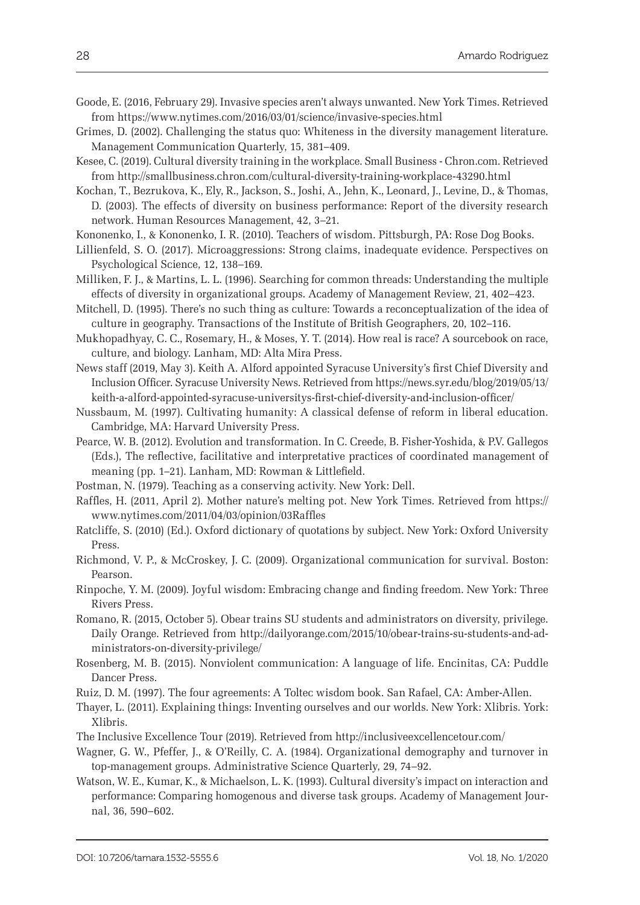- Goode, E. (2016, February 29). Invasive species aren't always unwanted. New York Times. Retrieved from<https://www.nytimes.com/2016/03/01/science/invasive-species.html>
- Grimes, D. (2002). Challenging the status quo: Whiteness in the diversity management literature. Management Communication Quarterly, 15, 381–409.
- Kesee, C. (2019). Cultural diversity training in the workplace. Small Business <Chron.com>. Retrieved from<http://smallbusiness.chron.com/cultural-diversity-training-workplace-43290.html>
- Kochan, T., Bezrukova, K., Ely, R., Jackson, S., Joshi, A., Jehn, K., Leonard, J., Levine, D., & Thomas, D. (2003). The effects of diversity on business performance: Report of the diversity research network. Human Resources Management, 42, 3–21.
- Kononenko, I., & Kononenko, I. R. (2010). Teachers of wisdom. Pittsburgh, PA: Rose Dog Books.
- Lillienfeld, S. O. (2017). Microaggressions: Strong claims, inadequate evidence. Perspectives on Psychological Science, 12, 138–169.
- Milliken, F. J., & Martins, L. L. (1996). Searching for common threads: Understanding the multiple effects of diversity in organizational groups. Academy of Management Review, 21, 402–423.
- Mitchell, D. (1995). There's no such thing as culture: Towards a reconceptualization of the idea of culture in geography. Transactions of the Institute of British Geographers, 20, 102–116.
- Mukhopadhyay, C. C., Rosemary, H., & Moses, Y. T. (2014). How real is race? A sourcebook on race, culture, and biology. Lanham, MD: Alta Mira Press.
- News staff (2019, May 3). Keith A. Alford appointed Syracuse University's first Chief Diversity and Inclusion Officer. Syracuse University News. Retrieved from [https://news.syr.edu/blog/2019/05/13/](https://news.syr.edu/blog/2019/05/13/keith) [keith-](https://news.syr.edu/blog/2019/05/13/keith)a-alford-appointed-syracuse-universitys-first-chief-diversity-and-inclusion-officer/
- Nussbaum, M. (1997). Cultivating humanity: A classical defense of reform in liberal education. Cambridge, MA: Harvard University Press.
- Pearce, W. B. (2012). Evolution and transformation. In C. Creede, B. Fisher-Yoshida, & P.V. Gallegos (Eds.), The reflective, facilitative and interpretative practices of coordinated management of meaning (pp. 1–21). Lanham, MD: Rowman & Littlefield.
- Postman, N. (1979). Teaching as a conserving activity. New York: Dell.
- Raffles, H. (2011, April 2). Mother nature's melting pot. New York Times. Retrieved from [https://](https://www.nytimes.com/2011/04/03/opinion/03Raffles) [www.nytimes.com/2011/04/03/opinion/03Raffles](https://www.nytimes.com/2011/04/03/opinion/03Raffles)
- Ratcliffe, S. (2010) (Ed.). Oxford dictionary of quotations by subject. New York: Oxford University Press.
- Richmond, V. P., & McCroskey, J. C. (2009). Organizational communication for survival. Boston: Pearson.
- Rinpoche, Y. M. (2009). Joyful wisdom: Embracing change and finding freedom. New York: Three Rivers Press.
- Romano, R. (2015, October 5). Obear trains SU students and administrators on diversity, privilege. Daily Orange. Retrieved from [http://dailyorange.com/2015/10/obear-](http://dailyorange.com/2015/10/obear)trains-su-students-and-administrators-on-diversity-privilege/
- Rosenberg, M. B. (2015). Nonviolent communication: A language of life. Encinitas, CA: Puddle Dancer Press.
- Ruiz, D. M. (1997). The four agreements: A Toltec wisdom book. San Rafael, CA: Amber-Allen.
- Thayer, L. (2011). Explaining things: Inventing ourselves and our worlds. New York: Xlibris. York: Xlibris.
- The Inclusive Excellence Tour (2019). Retrieved from [http://inclusiveexcellencetour.com/](http://inclusiveexcellencetour.com)
- Wagner, G. W., Pfeffer, J., & O'Reilly, C. A. (1984). Organizational demography and turnover in top-management groups. Administrative Science Quarterly, 29, 74–92.
- Watson, W. E., Kumar, K., & Michaelson, L. K. (1993). Cultural diversity's impact on interaction and performance: Comparing homogenous and diverse task groups. Academy of Management Journal, 36, 590–602.